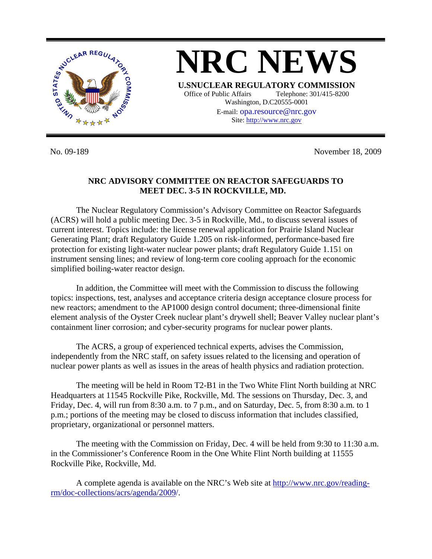

No. 09-189 November 18, 2009

## **NRC ADVISORY COMMITTEE ON REACTOR SAFEGUARDS TO MEET DEC. 3-5 IN ROCKVILLE, MD.**

 The Nuclear Regulatory Commission's Advisory Committee on Reactor Safeguards (ACRS) will hold a public meeting Dec. 3-5 in Rockville, Md., to discuss several issues of current interest. Topics include: the license renewal application for Prairie Island Nuclear Generating Plant; draft Regulatory Guide 1.205 on risk-informed, performance-based fire protection for existing light-water nuclear power plants; draft Regulatory Guide 1.151 on instrument sensing lines; and review of long-term core cooling approach for the economic simplified boiling-water reactor design.

 In addition, the Committee will meet with the Commission to discuss the following topics: inspections, test, analyses and acceptance criteria design acceptance closure process for new reactors; amendment to the AP1000 design control document; three-dimensional finite element analysis of the Oyster Creek nuclear plant's drywell shell; Beaver Valley nuclear plant's containment liner corrosion; and cyber-security programs for nuclear power plants.

 The ACRS, a group of experienced technical experts, advises the Commission, independently from the NRC staff, on safety issues related to the licensing and operation of nuclear power plants as well as issues in the areas of health physics and radiation protection.

 The meeting will be held in Room T2-B1 in the Two White Flint North building at NRC Headquarters at 11545 Rockville Pike, Rockville, Md. The sessions on Thursday, Dec. 3, and Friday, Dec. 4, will run from 8:30 a.m. to 7 p.m., and on Saturday, Dec. 5, from 8:30 a.m. to 1 p.m.; portions of the meeting may be closed to discuss information that includes classified, proprietary, organizational or personnel matters.

 The meeting with the Commission on Friday, Dec. 4 will be held from 9:30 to 11:30 a.m. in the Commissioner's Conference Room in the One White Flint North building at 11555 Rockville Pike, Rockville, Md.

 A complete agenda is available on the NRC's Web site at [http://www.nrc.gov/reading](http://www.nrc.gov/reading-rm/doc-collections/acrs/agenda/2009/)[rm/doc-collections/acrs/agenda/2009/.](http://www.nrc.gov/reading-rm/doc-collections/acrs/agenda/2009/)